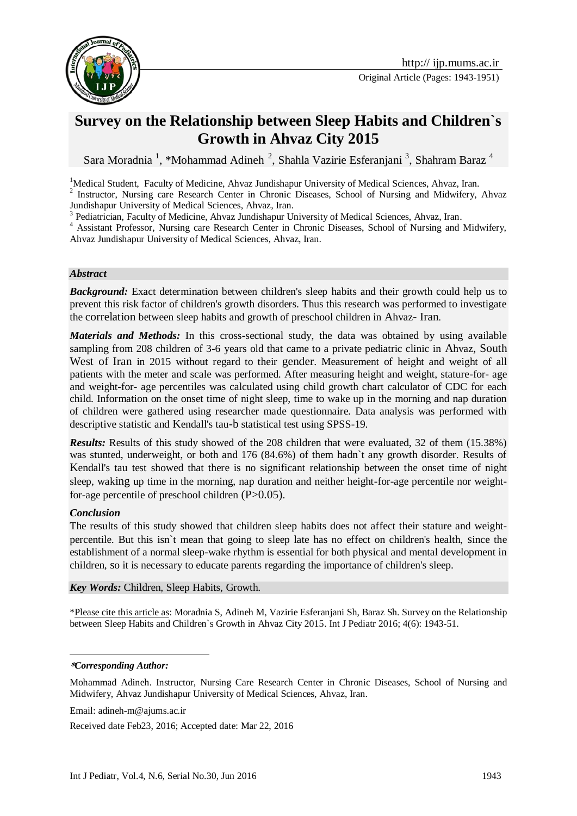

Original Article (Pages: 1943-1951)

# **Survey on the Relationship between Sleep Habits and Children`s Growth in Ahvaz City 2015**

Sara Moradnia <sup>1</sup>, \*Mohammad Adineh<sup>2</sup>, Shahla Vazirie Esferanjani<sup>3</sup>, Shahram Baraz<sup>4</sup>

<sup>1</sup>Medical Student, Faculty of Medicine, Ahvaz Jundishapur University of Medical Sciences, Ahvaz, Iran.

<sup>2</sup> Instructor, Nursing care Research Center in Chronic Diseases, School of Nursing and Midwifery, Ahvaz Jundishapur University of Medical Sciences, Ahvaz, Iran.

<sup>3</sup> Pediatrician, Faculty of Medicine, Ahvaz Jundishapur University of Medical Sciences, Ahvaz, Iran.

<sup>4</sup> Assistant Professor, Nursing care Research Center in Chronic Diseases, School of Nursing and Midwifery, Ahvaz Jundishapur University of Medical Sciences, Ahvaz, Iran.

#### *Abstract*

**Background:** Exact determination between children's sleep habits and their growth could help us to prevent this risk factor of children's growth disorders. Thus this research was performed to investigate the correlation between sleep habits and growth of preschool children in Ahvaz- Iran.

*Materials and Methods:* In this cross-sectional study, the data was obtained by using available sampling from 208 children of 3-6 years old that came to a private pediatric clinic in Ahvaz, South West of Iran in 2015 without regard to their gender. Measurement of height and weight of all patients with the meter and scale was performed. After measuring height and weight, stature-for- age and weight-for- age percentiles was calculated using child growth chart calculator of CDC for each child. Information on the onset time of night sleep, time to wake up in the morning and nap duration of children were gathered using researcher made questionnaire. Data analysis was performed with descriptive statistic and Kendall's tau-b statistical test using SPSS-19.

*Results:* Results of this study showed of the 208 children that were evaluated, 32 of them (15.38%) was stunted, underweight, or both and 176 (84.6%) of them hadn`t any growth disorder. Results of Kendall's tau test showed that there is no significant relationship between the onset time of night sleep, waking up time in the morning, nap duration and neither height-for-age percentile nor weightfor-age percentile of preschool children  $(P>0.05)$ .

#### *Conclusion*

The results of this study showed that children sleep habits does not affect their stature and weightpercentile. But this isn`t mean that going to sleep late has no effect on children's health, since the establishment of a normal sleep-wake rhythm is essential for both physical and mental development in children, so it is necessary to educate parents regarding the importance of children's sleep.

#### *Key Words:* Children, Sleep Habits, Growth.

\*Please cite this article as: Moradnia S, Adineh M, Vazirie Esferanjani Sh, Baraz Sh. Survey on the Relationship between Sleep Habits and Children`s Growth in Ahvaz City 2015. Int J Pediatr 2016; 4(6): 1943-51.

1

Email: [adineh-m@ajums.ac.ir](mailto:adineh-m@ajums.ac.ir)

Received date Feb23, 2016; Accepted date: Mar 22, 2016

**<sup>\*</sup>***Corresponding Author:*

Mohammad Adineh. Instructor, Nursing Care Research Center in Chronic Diseases, School of Nursing and Midwifery, Ahvaz Jundishapur University of Medical Sciences, Ahvaz, Iran.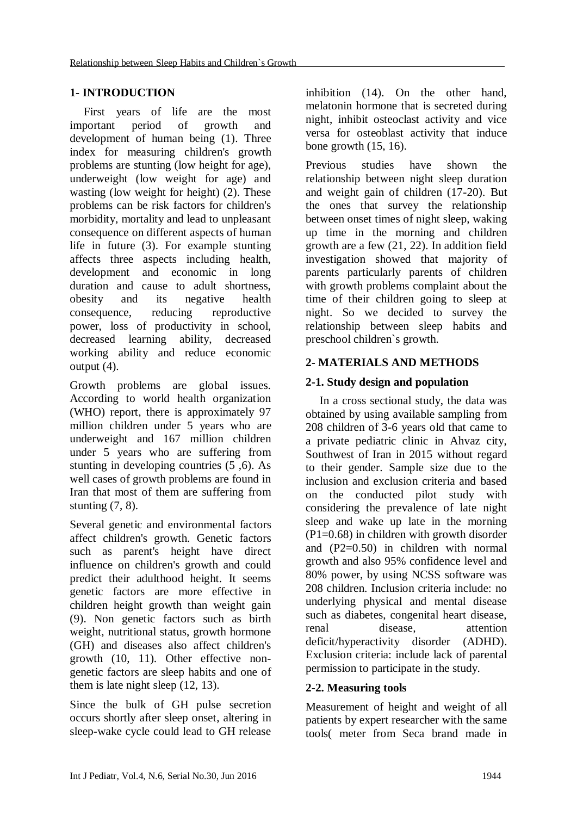## **1- INTRODUCTION**

First years of life are the most important period of growth and development of human being (1). Three index for measuring children's growth problems are stunting (low height for age), underweight (low weight for age) and wasting (low weight for height) (2). These problems can be risk factors for children's morbidity, mortality and lead to unpleasant consequence on different aspects of human life in future (3). For example stunting affects three aspects including health, development and economic in long duration and cause to adult shortness, obesity and its negative health consequence, reducing reproductive power, loss of productivity in school, decreased learning ability, decreased working ability and reduce economic output (4).

Growth problems are global issues. According to world health organization (WHO) report, there is approximately 97 million children under 5 years who are underweight and 167 million children under 5 years who are suffering from stunting in developing countries (5 ,6). As well cases of growth problems are found in Iran that most of them are suffering from stunting (7, 8).

Several genetic and environmental factors affect children's growth. Genetic factors such as parent's height have direct influence on children's growth and could predict their adulthood height. It seems genetic factors are more effective in children height growth than weight gain (9). Non genetic factors such as birth weight, nutritional status, growth hormone (GH) and diseases also affect children's growth (10, 11). Other effective nongenetic factors are sleep habits and one of them is late night sleep (12, 13).

Since the bulk of GH pulse secretion occurs shortly after sleep onset, altering in sleep-wake cycle could lead to GH release

inhibition (14). On the other hand, melatonin hormone that is secreted during night, inhibit osteoclast activity and vice versa for osteoblast activity that induce bone growth (15, 16).

Previous studies have shown the relationship between night sleep duration and weight gain of children (17-20). But the ones that survey the relationship between onset times of night sleep, waking up time in the morning and children growth are a few (21, 22). In addition field investigation showed that majority of parents particularly parents of children with growth problems complaint about the time of their children going to sleep at night. So we decided to survey the relationship between sleep habits and preschool children`s growth.

# **2- MATERIALS AND METHODS**

# **2-1. Study design and population**

In a cross sectional study, the data was obtained by using available sampling from 208 children of 3-6 years old that came to a private pediatric clinic in Ahvaz city, Southwest of Iran in 2015 without regard to their gender. Sample size due to the inclusion and exclusion criteria and based on the conducted pilot study with considering the prevalence of late night sleep and wake up late in the morning (P1=0.68) in children with growth disorder and (P2=0.50) in children with normal growth and also 95% confidence level and 80% power, by using NCSS software was 208 children. Inclusion criteria include: no underlying physical and mental disease such as diabetes, congenital heart disease, renal disease*,* attention deficit/hyperactivity disorder (ADHD). Exclusion criteria: include lack of parental permission to participate in the study.

## **2-2. Measuring tools**

Measurement of height and weight of all patients by expert researcher with the same tools( meter from Seca brand made in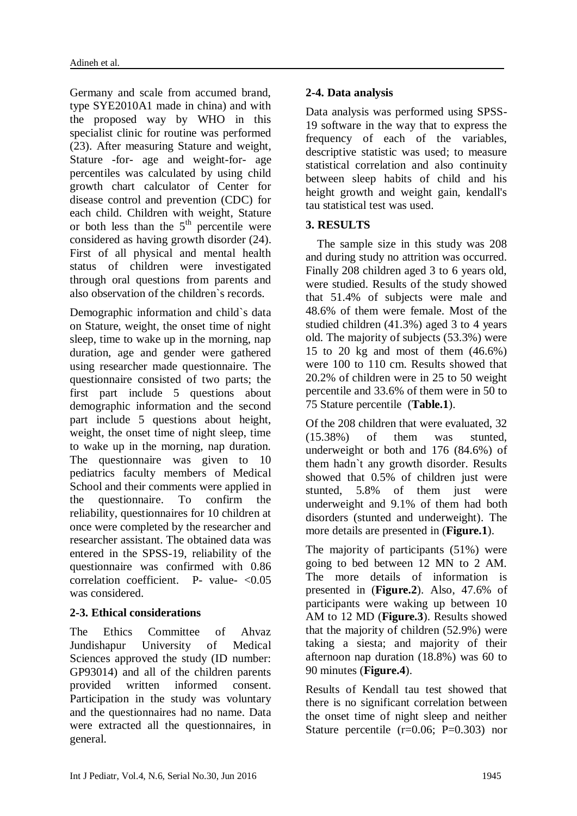Germany and scale from accumed brand, type SYE2010A1 made in china) and with the proposed way by WHO in this specialist clinic for routine was performed (23). After measuring Stature and weight, Stature -for- age and weight-for- age percentiles was calculated by using child growth chart calculator of Center for disease control and prevention (CDC) for each child. Children with weight, Stature or both less than the  $5<sup>th</sup>$  percentile were considered as having growth disorder (24). First of all physical and mental health status of children were investigated through oral questions from parents and also observation of the children`s records.

Demographic information and child`s data on Stature, weight, the onset time of night sleep, time to wake up in the morning, nap duration, age and gender were gathered using researcher made questionnaire. The questionnaire consisted of two parts; the first part include 5 questions about demographic information and the second part include 5 questions about height, weight, the onset time of night sleep, time to wake up in the morning, nap duration. The questionnaire was given to 10 pediatrics faculty members of Medical School and their comments were applied in the questionnaire. To confirm the reliability, questionnaires for 10 children at once were completed by the researcher and researcher assistant. The obtained data was entered in the SPSS-19, reliability of the questionnaire was confirmed with 0.86 correlation coefficient. P- value- <0.05 was considered.

## **2-3. Ethical considerations**

The Ethics Committee of Ahvaz Jundishapur University of Medical Sciences approved the study (ID number: GP93014) and all of the children parents provided written informed consent. Participation in the study was voluntary and the questionnaires had no name. Data were extracted all the questionnaires, in general.

#### **2-4. Data analysis**

Data analysis was performed using SPSS-19 software in the way that to express the frequency of each of the variables, descriptive statistic was used; to measure statistical correlation and also continuity between sleep habits of child and his height growth and weight gain, kendall's tau statistical test was used.

#### **3. RESULTS**

 The sample size in this study was 208 and during study no attrition was occurred. Finally 208 children aged 3 to 6 years old, were studied. Results of the study showed that 51.4% of subjects were male and 48.6% of them were female. Most of the studied children (41.3%) aged 3 to 4 years old. The majority of subjects (53.3%) were 15 to 20 kg and most of them (46.6%) were 100 to 110 cm. Results showed that 20.2% of children were in 25 to 50 weight percentile and 33.6% of them were in 50 to 75 Stature percentile (**Table.1**).

Of the 208 children that were evaluated, 32 (15.38%) of them was stunted, underweight or both and 176 (84.6%) of them hadn`t any growth disorder. Results showed that 0.5% of children just were stunted, 5.8% of them just were underweight and 9.1% of them had both disorders (stunted and underweight). The more details are presented in (**Figure.1**).

The majority of participants (51%) were going to bed between 12 MN to 2 AM. The more details of information is presented in (**Figure.2**). Also, 47.6% of participants were waking up between 10 AM to 12 MD (**Figure.3**). Results showed that the majority of children (52.9%) were taking a siesta; and majority of their afternoon nap duration (18.8%) was 60 to 90 minutes (**Figure.4**).

Results of Kendall tau test showed that there is no significant correlation between the onset time of night sleep and neither Stature percentile  $(r=0.06; P=0.303)$  nor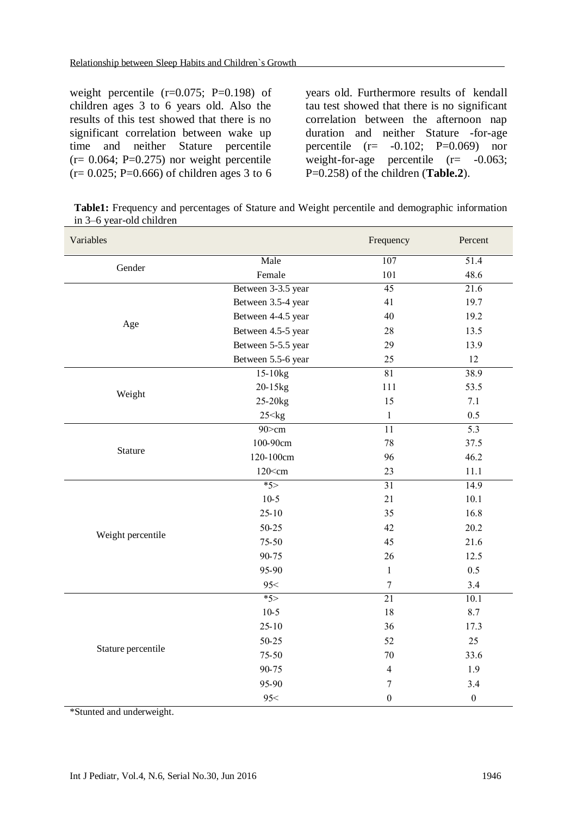weight percentile  $(r=0.075; P=0.198)$  of children ages 3 to 6 years old. Also the results of this test showed that there is no significant correlation between wake up time and neither Stature percentile  $(r= 0.064; P=0.275)$  nor weight percentile  $(r= 0.025; P=0.666)$  of children ages 3 to 6

years old. Furthermore results of kendall tau test showed that there is no significant correlation between the afternoon nap duration and neither Stature -for-age percentile  $(r=-0.102; P=0.069)$  nor weight-for-age percentile  $(r=-0.063;$ P=0.258) of the children (**Table.2**).

**Table1:** Frequency and percentages of Stature and Weight percentile and demographic information in 3–6 year-old children

| Variables          |                     | Frequency        | Percent          |
|--------------------|---------------------|------------------|------------------|
| Gender             | Male                | 107              | 51.4             |
|                    | Female              | 101              | 48.6             |
|                    | Between 3-3.5 year  | $\overline{45}$  | 21.6             |
|                    | Between 3.5-4 year  | 41               | 19.7             |
| Age                | Between 4-4.5 year  | 40               | 19.2             |
|                    | Between 4.5-5 year  | 28               | 13.5             |
|                    | Between 5-5.5 year  | 29               | 13.9             |
|                    | Between 5.5-6 year  | 25               | 12               |
|                    | $15-10kg$           | 81               | 38.9             |
|                    | 20-15kg             | 111              | 53.5             |
| Weight             | 25-20 <sub>kg</sub> | 15               | 7.1              |
|                    | $25 <$ kg           | $\mathbf{1}$     | 0.5              |
|                    | 90>cm               | $\overline{11}$  | 5.3              |
|                    | 100-90cm            | 78               | 37.5             |
| Stature            | 120-100cm           | 96               | 46.2             |
|                    | $120$ < cm          | 23               | 11.1             |
|                    | $*5$                | $\overline{31}$  | 14.9             |
|                    | $10-5$              | 21               | 10.1             |
|                    | $25 - 10$           | 35               | 16.8             |
|                    | 50-25               | 42               | 20.2             |
| Weight percentile  | 75-50               | 45               | 21.6             |
|                    | 90-75               | 26               | 12.5             |
|                    | 95-90               | $\mathbf{1}$     | 0.5              |
|                    | 95<                 | $\boldsymbol{7}$ | 3.4              |
|                    | $*5$                | $\overline{21}$  | 10.1             |
|                    | $10-5$              | 18               | 8.7              |
|                    | $25 - 10$           | 36               | 17.3             |
|                    | 50-25               | 52               | 25               |
| Stature percentile | 75-50               | 70               | 33.6             |
|                    | 90-75               | $\overline{4}$   | 1.9              |
|                    | 95-90               | $\boldsymbol{7}$ | 3.4              |
|                    | 95<                 | $\boldsymbol{0}$ | $\boldsymbol{0}$ |

\*Stunted and underweight.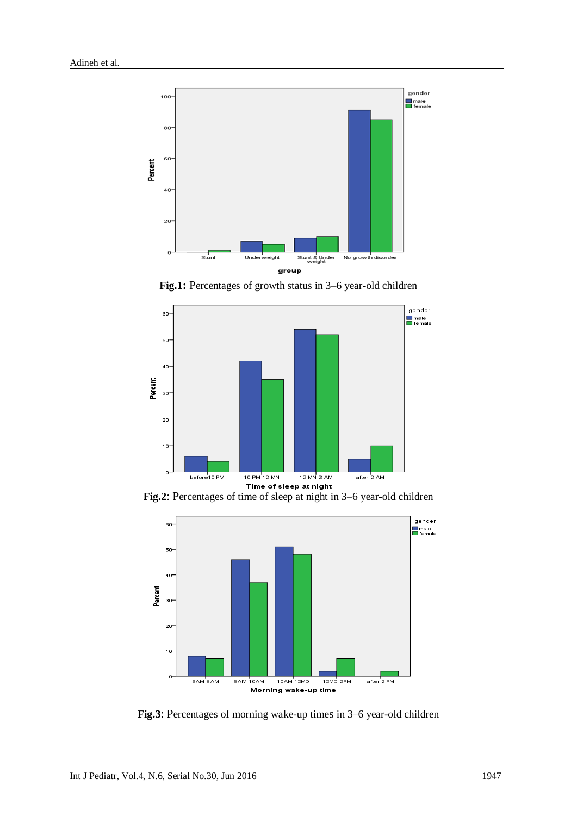

**Fig.1:** Percentages of growth status in 3–6 year-old children



**Fig.2:** Percentages of time of sleep at night<br>**Fig.2**: Percentages of time of sleep at night in 3–6 year-old children



**Fig.3**: Percentages of morning wake-up times in 3–6 year-old children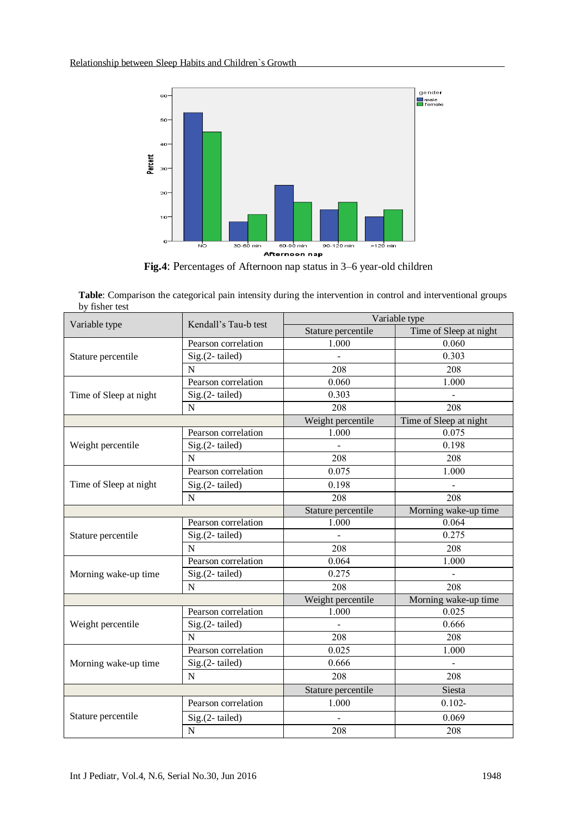

**Fig.4**: Percentages of Afternoon nap status in 3–6 year-old children

**Table**: Comparison the categorical pain intensity during the intervention in control and interventional groups by fisher test

| Variable type          | Kendall's Tau-b test | Variable type      |                        |  |
|------------------------|----------------------|--------------------|------------------------|--|
|                        |                      | Stature percentile | Time of Sleep at night |  |
| Stature percentile     | Pearson correlation  | 1.000              | 0.060                  |  |
|                        | Sig.(2-tailed)       |                    | 0.303                  |  |
|                        | ${\bf N}$            | 208                | 208                    |  |
| Time of Sleep at night | Pearson correlation  | 0.060              | 1.000                  |  |
|                        | Sig.(2-tailed)       | 0.303              |                        |  |
|                        | N                    | 208                | 208                    |  |
|                        |                      | Weight percentile  | Time of Sleep at night |  |
| Weight percentile      | Pearson correlation  | 1.000              | 0.075                  |  |
|                        | Sig.(2-tailed)       |                    | 0.198                  |  |
|                        | N                    | 208                | 208                    |  |
| Time of Sleep at night | Pearson correlation  | 0.075              | 1.000                  |  |
|                        | Sig.(2-tailed)       | 0.198              |                        |  |
|                        | N                    | 208                | 208                    |  |
|                        |                      | Stature percentile | Morning wake-up time   |  |
| Stature percentile     | Pearson correlation  | 1.000              | 0.064                  |  |
|                        | Sig.(2-tailed)       |                    | 0.275                  |  |
|                        | $\overline{N}$       | 208                | 208                    |  |
|                        | Pearson correlation  | 0.064              | 1.000                  |  |
| Morning wake-up time   | Sig.(2-tailed)       | 0.275              |                        |  |
|                        | N                    | 208                | 208                    |  |
|                        |                      | Weight percentile  | Morning wake-up time   |  |
| Weight percentile      | Pearson correlation  | 1.000              | 0.025                  |  |
|                        | Sig.(2-tailed)       |                    | 0.666                  |  |
|                        | N                    | 208                | 208                    |  |
| Morning wake-up time   | Pearson correlation  | 0.025              | 1.000                  |  |
|                        | Sig.(2-tailed)       | 0.666              |                        |  |
|                        | $\mathbf N$          | 208                | 208                    |  |
|                        |                      | Stature percentile | Siesta                 |  |
| Stature percentile     | Pearson correlation  | 1.000              | $0.102 -$              |  |
|                        | Sig.(2-tailed)       |                    | 0.069                  |  |
|                        | $\mathbf N$          | 208                | 208                    |  |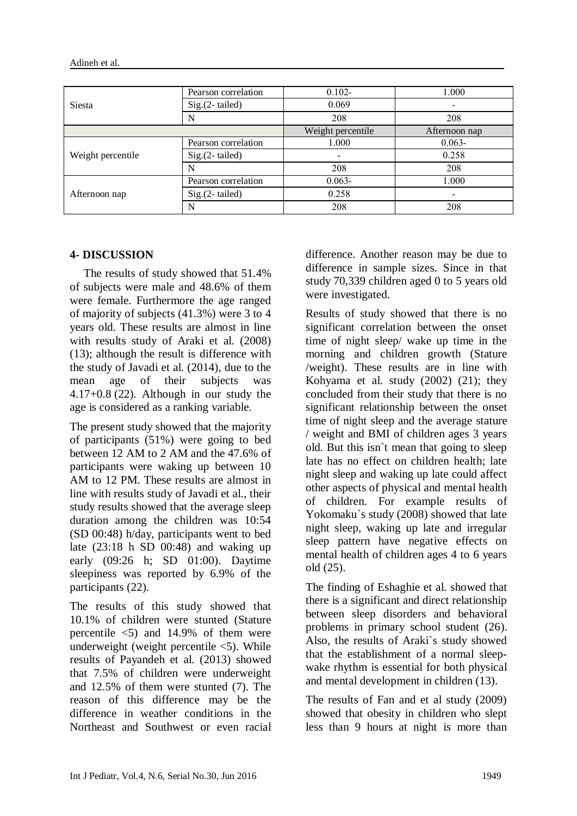Adineh et al.

| <b>Siesta</b>     | Pearson correlation | $0.102 -$         | 1.000         |
|-------------------|---------------------|-------------------|---------------|
|                   | $Sig.(2-tailed)$    | 0.069             |               |
|                   | N                   | 208               | 208           |
|                   |                     | Weight percentile | Afternoon nap |
| Weight percentile | Pearson correlation | 1.000             | $0.063 -$     |
|                   | $Sig.(2-tailed)$    |                   | 0.258         |
|                   | N                   | 208               | 208           |
| Afternoon nap     | Pearson correlation | $0.063 -$         | 1.000         |
|                   | $Sig.(2-tailed)$    | 0.258             |               |
|                   | N                   | 208               | 208           |

#### **4- DISCUSSION**

The results of study showed that 51.4% of subjects were male and 48.6% of them were female. Furthermore the age ranged of majority of subjects (41.3%) were 3 to 4 years old. These results are almost in line with results study of Araki et al. (2008) (13); although the result is difference with the study of Javadi et al. (2014), due to the mean age of their subjects was 4.17+0.8 (22). Although in our study the age is considered as a ranking variable.

The present study showed that the majority of participants (51%) were going to bed between 12 AM to 2 AM and the 47.6% of participants were waking up between 10 AM to 12 PM. These results are almost in line with results study of Javadi et al., their study results showed that the average sleep duration among the children was 10:54 (SD 00:48) h/day, participants went to bed late  $(23:18 \text{ h SD } 00:48)$  and waking up early (09:26 h; SD 01:00). Daytime sleepiness was reported by 6.9% of the participants (22).

The results of this study showed that 10.1% of children were stunted (Stature percentile  $\langle 5 \rangle$  and 14.9% of them were underweight (weight percentile  $\langle 5 \rangle$ ). While results of Payandeh et al. (2013) showed that 7.5% of children were underweight and 12.5% of them were stunted (7). The reason of this difference may be the difference in weather conditions in the Northeast and Southwest or even racial difference. Another reason may be due to difference in sample sizes. Since in that study 70,339 children aged 0 to 5 years old were investigated.

Results of study showed that there is no significant correlation between the onset time of night sleep/ wake up time in the morning and children growth (Stature /weight). These results are in line with Kohyama et al. study (2002) (21); they concluded from their study that there is no significant relationship between the onset time of night sleep and the average stature / weight and BMI of children ages 3 years old. But this isn`t mean that going to sleep late has no effect on children health; late night sleep and waking up late could affect other aspects of physical and mental health of children. For example results of Yokomaku`s study (2008) showed that late night sleep, waking up late and irregular sleep pattern have negative effects on mental health of children ages 4 to 6 years old (25).

The finding of Eshaghie et al. showed that there is a significant and direct relationship between sleep disorders and behavioral problems in primary school student (26). Also, the results of Araki`s study showed that the establishment of a normal sleepwake rhythm is essential for both physical and mental development in children (13).

The results of Fan and et al study (2009) showed that obesity in children who slept less than 9 hours at night is more than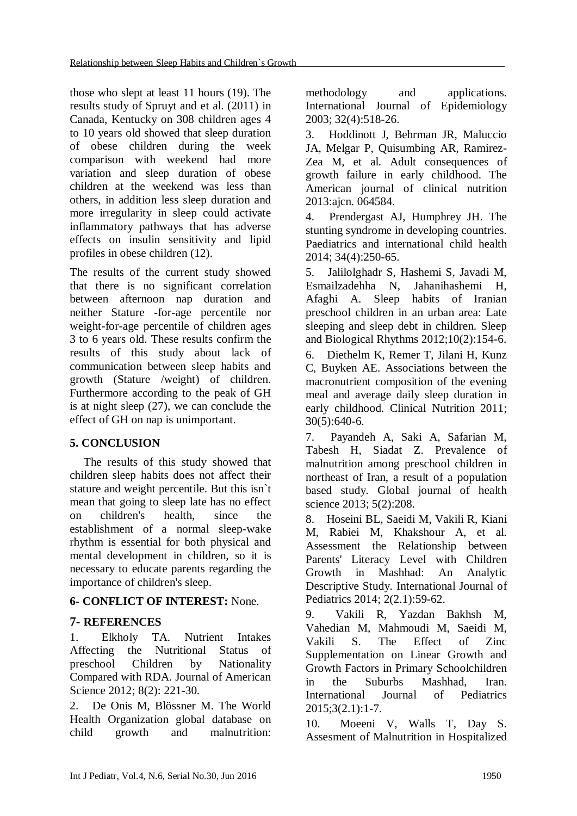those who slept at least 11 hours (19). The results study of Spruyt and et al. (2011) in Canada, Kentucky on 308 children ages 4 to 10 years old showed that sleep duration of obese children during the week comparison with weekend had more variation and sleep duration of obese children at the weekend was less than others, in addition less sleep duration and more irregularity in sleep could activate inflammatory pathways that has adverse effects on insulin sensitivity and lipid profiles in obese children (12).

The results of the current study showed that there is no significant correlation between afternoon nap duration and neither Stature -for-age percentile nor weight-for-age percentile of children ages 3 to 6 years old. These results confirm the results of this study about lack of communication between sleep habits and growth (Stature /weight) of children. Furthermore according to the peak of GH is at night sleep (27), we can conclude the effect of GH on nap is unimportant.

## **5. CONCLUSION**

The results of this study showed that children sleep habits does not affect their stature and weight percentile. But this isn`t mean that going to sleep late has no effect on children's health, since the establishment of a normal sleep-wake rhythm is essential for both physical and mental development in children, so it is necessary to educate parents regarding the importance of children's sleep.

## **6- CONFLICT OF INTEREST:** None.

## **7- REFERENCES**

1. Elkholy TA. Nutrient Intakes Affecting the Nutritional Status of preschool Children by Nationality Compared with RDA. Journal of American Science 2012; 8(2): 221-30.

2. De Onis M, Blössner M. The World Health Organization global database on child growth and malnutrition:

methodology and applications. International Journal of Epidemiology 2003; 32(4):518-26.

3. Hoddinott J, Behrman JR, Maluccio JA, Melgar P, Quisumbing AR, Ramirez-Zea M, et al. Adult consequences of growth failure in early childhood. The American journal of clinical nutrition 2013:ajcn. 064584.

4. Prendergast AJ, Humphrey JH. The stunting syndrome in developing countries. Paediatrics and international child health 2014; 34(4):250-65.

5. Jalilolghadr S, Hashemi S, Javadi M, Esmailzadehha N, Jahanihashemi H, Afaghi A. Sleep habits of Iranian preschool children in an urban area: Late sleeping and sleep debt in children. Sleep and Biological Rhythms 2012;10(2):154-6.

6. Diethelm K, Remer T, Jilani H, Kunz C, Buyken AE. Associations between the macronutrient composition of the evening meal and average daily sleep duration in early childhood. Clinical Nutrition 2011;  $30(5):640-6.$ 

7. Payandeh A, Saki A, Safarian M, Tabesh H, Siadat Z. Prevalence of malnutrition among preschool children in northeast of Iran, a result of a population based study. Global journal of health science 2013; 5(2):208.

8. Hoseini BL, Saeidi M, Vakili R, Kiani M, Rabiei M, Khakshour A, et al. Assessment the Relationship between Parents' Literacy Level with Children Growth in Mashhad: An Analytic Descriptive Study. International Journal of Pediatrics 2014; 2(2.1):59-62.

9. Vakili R, Yazdan Bakhsh M, Vahedian M, Mahmoudi M, Saeidi M, Vakili S. The Effect of Zinc Supplementation on Linear Growth and Growth Factors in Primary Schoolchildren in the Suburbs Mashhad, Iran. International Journal of Pediatrics 2015;3(2.1):1-7.

10. Moeeni V, Walls T, Day S. Assesment of Malnutrition in Hospitalized